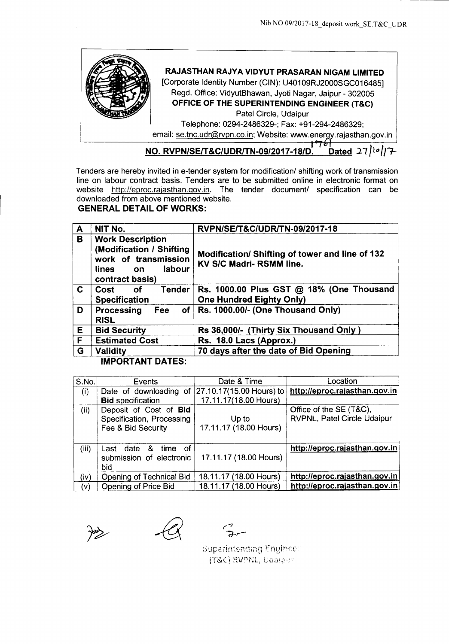

**RAJASTHAN RAJYA VIDYUT PRASARAN NIGAM LIMITED** [Corporate Identity Number (CIN): U40109RJ2000SGC016485]

Regd. Office: VidyutBhawan, Jyoti Nagar, Jaipur - 302005

**OFFICE OF THE SUPERINTENDING ENGINEER (T&C)**

Patel Circle, Udaipur

Telephone: 0294-2486329-; Fax: +91-294-2486329;

email: se.tnc.udr@rvpn.co.in; Website: www.energy.rajasthan.gov.in

 $\overline{\text{Dated}}$  27/10/17 NO. RVPN/SE/T&C/UDR/TN-09/2017-18/D

Tenders are hereby invited in e-tender system for modification/ shifting work of transmission line on labour contract basis. Tenders are to be submitted online in electronic format on website http://eproc.rajasthan.gov.in. The tender document/ specification can be downloaded from above mentioned website.

## **GENERAL DETAIL OF WORKS:**

| A            | NIT No.                                                                                                                          | RVPN/SE/T&C/UDR/TN-09/2017-18                                               |  |
|--------------|----------------------------------------------------------------------------------------------------------------------------------|-----------------------------------------------------------------------------|--|
| B            | <b>Work Description</b><br>(Modification / Shifting<br>work of transmission<br><b>labour</b><br>lines<br>- on<br>contract basis) | Modification/ Shifting of tower and line of 132<br>KV S/C Madri-RSMM line.  |  |
| $\mathbf{C}$ | <b>Tender</b><br>Cost<br>of.<br><b>Specification</b>                                                                             | Rs. 1000.00 Plus GST @ 18% (One Thousand<br><b>One Hundred Eighty Only)</b> |  |
| D            | Processing<br>of <sub>1</sub><br><b>Fee</b><br><b>RISL</b>                                                                       | Rs. 1000.00/- (One Thousand Only)                                           |  |
| Е            | <b>Bid Security</b>                                                                                                              | Rs 36,000/- (Thirty Six Thousand Only)                                      |  |
| F            | <b>Estimated Cost</b>                                                                                                            | Rs. 18.0 Lacs (Approx.)                                                     |  |
| G            | <b>Validity</b>                                                                                                                  | 70 days after the date of Bid Opening                                       |  |

**IMPORTANT DATES:**

| S.No. | Events                    | Date & Time                 | Location                           |
|-------|---------------------------|-----------------------------|------------------------------------|
| (i)   | Date of downloading of    | $ 27.10.17(15.00$ Hours) to | http://eproc.rajasthan.gov.in      |
|       | <b>Bid specification</b>  | 17.11.17(18.00 Hours)       |                                    |
| (ii)  | Deposit of Cost of Bid    |                             | Office of the SE (T&C),            |
|       | Specification, Processing | Up to                       | <b>RVPNL, Patel Circle Udaipur</b> |
|       | Fee & Bid Security        | 17.11.17 (18.00 Hours)      |                                    |
|       |                           |                             |                                    |
| (iii) | of.<br>Last date & time   |                             | http://eproc.rajasthan.gov.in      |
|       | submission of electronic  | 17.11.17 (18.00 Hours)      |                                    |
|       | bid                       |                             |                                    |
| (iv)  | Opening of Technical Bid  | 18.11.17 (18.00 Hours)      | http://eproc.rajasthan.gov.in      |
| (v)   | Opening of Price Bid      | 18.11.17 (18.00 Hours)      | http://eproc.rajasthan.gov.in      |

Superintending Enginee: (T&C) RVPNL, Udaiper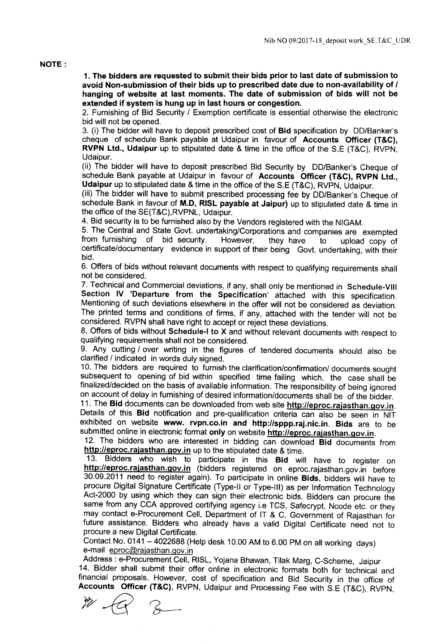## NOTE:

1. The bidders are requested to submit their bids prior to last date of submission to avoid Non-submission of their bids up to prescribed date due to non-availability of *I* hanging of website at last moments. The date of submission of bids will not be extended if system is hung up in last hours or congestion.

2. Furnishing of Bid Security / Exemption certificate is essential otherwise the electronic bid will not be opened.

3. (i) The bidder will have to deposit prescribed cost of Bid specification by DD/Banker's cheque of schedule Bank payable at Udaipur in favour of Accounts Officer (T&C), RVPN Ltd., Udaipur up to stipulated date & time in the office of the S.E (T&C), RVPN, Udaipur.

(ii) The bidder will have to deposit prescribed Bid Security by DD/Banker's Cheque of schedule Bank payable at Udaipur in favour of Accounts Officer (T&C), RVPN Ltd., Udaipur up to stipulated date & time in the office of the S.E (T&C), RVPN, Udaipur.

(iii) The bidder will have to submit prescribed processing fee by DD/Banker's Cheque of schedule Bank in favour of M.D, RISL payable at Jaipur) up to stipulated date & time in the office of the SE(T&C),RVPNL, Udaipur.

4. Bid security is to be furnished also by the Vendors registered with the NIGAM.

5. The Central and State Govt. undertaking/Corporations and companies are exempted from furnishing of bid security. However, they have to upload copy of certificate/documentary evidence in support of their being Govt. undertaking, with their bid.

6. Offers of bids without relevant documents with respect to qualifying requirements shall not be considered.

7. Technical and Commercial deviations, if any, shall only be mentioned in Schedule-VIII Section IV 'Departure from the Specification' attached with this specification. Mentioning of such deviations elsewhere in the offer will not be considered as deviation. The printed terms and conditions of firms, if any, attached with the tender will not be

considered. RVPN shall have right to accept or reject these deviations. 8. Offers of bids without Schedule-I to X and without relevant documents with respect to

qualifying requirements shall not be considered.

9. Any cutting / over writing in the figures of tendered documents should also be clarified / indicated in words duly signed.

10. The bidders are required to furnish the clarification/confirmation/ documents sought subsequent to opening of bid within specified time failing which, the case shall be finalized/decided on the basis of available information. The responsibility of being ignored on account of delay in furnishing of desired information/documents shall be of the bidder.

11. The Bid documents can be downloaded from web site http://eproc.rajasthan.gov.in. Details of this Bid notification and pre-qualification criteria can also be seen in NIT exhibited on website www. rvpn.co.in and http://sppp.raj.nic.in. Bids are to be submitted online in electronic format only on website http://eproc.rajasthan.gov.in.

12. The bidders who are interested in bidding can download Bid documents from http://eproc.rajasthan.gov.in up to the stipulated date & time.

13. Bidders who wish to participate in this Bid will have to register on http://eproc.rajasthan.gov.in (bidders registered on eproc.rajasthan.gov.in before 30.09.2011 need to register again). To participate in online Bids, bidders will have to procure Digital Signature Certificate (Type-II or Type-III) as per Information Technology Act-2000 by using which they can sign their electronic bids. Bidders can procure the same from any CCA approved certifying agency i.e TCS, Safecrypt, Ncode etc. or they may contact e-Procurement Cell, Department of IT & C, Government of Rajasthan for future assistance. Bidders who already have a valid Digital Certificate need not to procure a new Digital Certificate.

Contact No. 0141 - 4022688 (Help desk 10.00 AM to 6.00 PM on all working days) e-mail eproc@rajasthan.gov.in

Address: e-Procurement Cell, RISL, Yojana Bhawan, Tilak Marg, C-Scheme, Jaipur 14. Bidder shall submit their offer online in electronic formats both for technical and financial proposals. However, cost of specification and Bid Security in the office of Accounts Officer (T&C), RVPN, Udaipur and Processing Fee with S.E (T&C), RVPN,

 $*$   $+$   $+$   $-$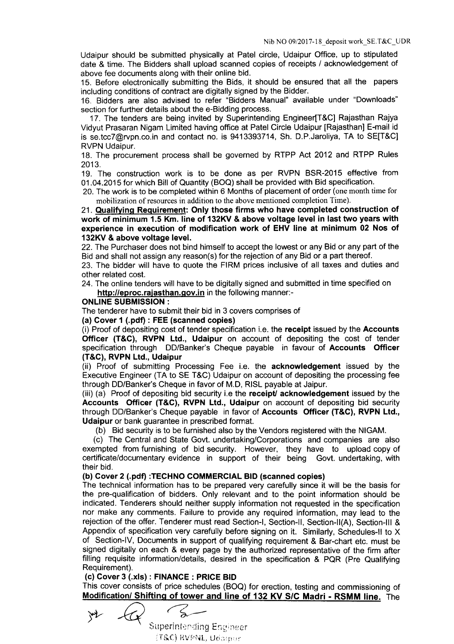Udaipur should be submitted physically at Patel circle, Udaipur Office, up to stipulated date & time. The Bidders shall upload scanned copies of receipts / acknowledgement of above fee documents along with their online bid.

15. Before electronically submitting the Bids, it should be ensured that all the papers including conditions of contract are digitally signed by the Bidder.

16. Bidders are also advised to refer "Bidders Manual" available under "Downloads" section for further details about the e-Bidding process.

17. The tenders are being invited by Superintending Engineer[T&C] Rajasthan Rajya Vidyut Prasaran Nigam Limited having office at Patel Circle Udaipur [Rajasthan] E-mail id is se.tcc7@rvpn.co.in and contact no. is 9413393714, Sh. D.P.Jaroliya, TA to SE[T&C] RVPN Udaipur.

18. The procurement process shall be governed by RTPP Act 2012 and RTPP Rules 2013.

19. The construction work is to be done as per RVPN BSR-2015 effective from 01.04.2015 for which Bill of Quantity (BOQ) shall be provided with Bid specification.

20. The work is to be completed within 6 Months of placement of order (one month time for mobilization of resources in addition to the above mentioned completion Time).

21. Qualifying Requirement: Only those firms who have completed construction of work of minimum 1.5 Km. line of 132KV & above voltage level in last two years with experience in execution of modification work of EHV line at minimum 02 Nos of 132KV & above voltage level.

22. The Purchaser does not bind himself to accept the lowest or any Bid or any part of the Bid and shall not assign any reason(s) for the rejection of any Bid or a part thereof.

23. The bidder will have to quote the FIRM prices inclusive of all taxes and duties and other related cost.

24. The online tenders will have to be digitally signed and submitted in time specified on http://eproc.rajasthan.gov.in in the following manner:-

## ONLINE SUBMISSION:

The tenderer have to submit their bid in 3 covers comprises of

(a) Cover 1 (.pdf) : FEE (scanned copies)

(i) Proof of depositing cost of tender specification i.e. the receipt issued by the Accounts Officer (T&C), RVPN Ltd., Udaipur on account of depositing the cost of tender specification through DO/Banker's Cheque payable in favour of Accounts Officer (T&C), RVPN Ltd., Udaipur

(ii) Proof of submitting Processing Fee i.e, the acknowledgement issued by the Executive Engineer (TA to SE T&C) Udaipur on account of depositing the processing fee through DO/Banker's Cheque in favor of M.D, RISL payable at Jaipur.

(iii) (a) Proof of depositing bid security i.e the receipt acknowledgement issued by the Accounts Officer (T&C), RVPN Ltd., Udaipur on account of depositing bid security through DO/Banker's Cheque payable in favor of Accounts Officer (T&C), RVPN Ltd., Udaipur or bank guarantee in prescribed format.

(b) Bid security is to be furnished also by the Vendors registered with the NIGAM.

(c) The Central and State Govt. undertaking/Corporations and companies are also exempted from furnishing of bid security. However, they have to upload copy of certificate/documentary evidence in support of their being Govt. undertaking, with their bid.

(b) Cover 2 (.pdf) :TECHNO COMMERCIAL BID (scanned copies)

(T&C) RVPNL, Udaiper

The technical information has to be prepared very carefully since it will be the basis for the pre-qualification of bidders. Only relevant and to the point information should be indicated. Tenderers should neither supply information not requested in the specification nor make any comments. Failure to provide any required information, may lead to the rejection of the offer. Tenderer must read Section-I, Section-II, Section-II(A), Section-III & Appendix of specification very carefully before signing on it. Similarly, Schedules-II to X of Section-IV, Documents in support of qualifying requirement & Bar-chart etc. must be signed digitally on each & every page by the authorized representative of the firm after filling requisite information/details, desired in the specification & PQR (Pre Qualifying Requirement).

## (c) Cover 3 (.xls) : FINANCE: PRICE BID

This cover consists of price schedules (BOQ) for erection, testing and commissioning of Modification/ Shifting of tower and line of 132 KV S/C Madri - RSMM line. The

y Compared to Superintending Engineer